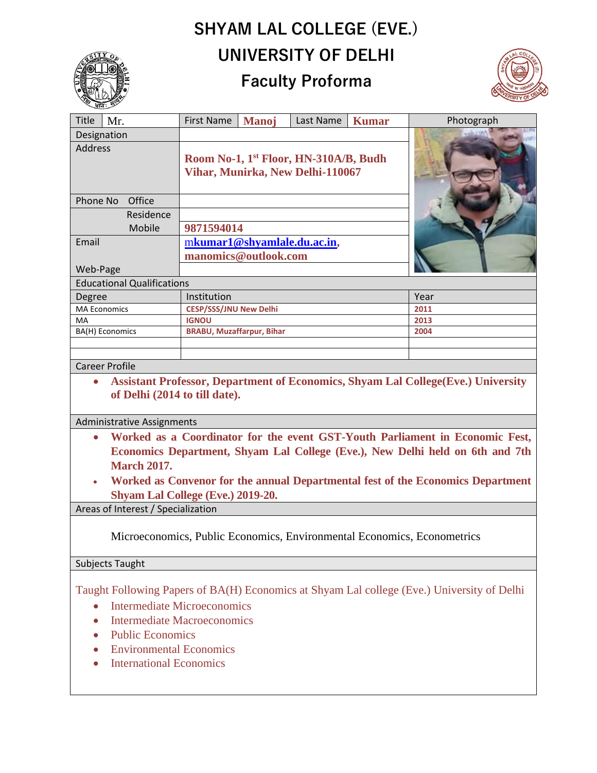## **SHYAM LAL COLLEGE (EVE.) UNIVERSITY OF DELHI**

## **Faculty Proforma**



| Title               | Mr.                               | <b>First Name</b>                                 | <b>Manoj</b> | Last Name | <b>Kumar</b> | Photograph |
|---------------------|-----------------------------------|---------------------------------------------------|--------------|-----------|--------------|------------|
| Designation         |                                   |                                                   |              |           |              |            |
| <b>Address</b>      |                                   |                                                   |              |           |              |            |
|                     |                                   | Room No-1, 1 <sup>st</sup> Floor, HN-310A/B, Budh |              |           |              |            |
|                     |                                   | Vihar, Munirka, New Delhi-110067                  |              |           |              |            |
|                     |                                   |                                                   |              |           |              |            |
| Office<br>Phone No  |                                   |                                                   |              |           |              |            |
|                     | Residence                         |                                                   |              |           |              |            |
|                     | Mobile                            | 9871594014                                        |              |           |              |            |
| Email               |                                   | mkumar1@shyamlale.du.ac.in,                       |              |           |              |            |
|                     |                                   | manomics@outlook.com                              |              |           |              |            |
| Web-Page            |                                   |                                                   |              |           |              |            |
|                     | <b>Educational Qualifications</b> |                                                   |              |           |              |            |
| Degree              |                                   | Institution                                       |              |           |              | Year       |
| <b>MA Economics</b> |                                   | <b>CESP/SSS/JNU New Delhi</b>                     |              |           |              | 2011       |
| MA                  |                                   | <b>IGNOU</b>                                      |              |           |              | 2013       |
| BA(H) Economics     |                                   | <b>BRABU, Muzaffarpur, Bihar</b>                  |              |           |              | 2004       |
|                     |                                   |                                                   |              |           |              |            |
|                     |                                   |                                                   |              |           |              |            |
|                     | <b>Career Profile</b>             |                                                   |              |           |              |            |

## • **Assistant Professor, Department of Economics, Shyam Lal College(Eve.) University of Delhi (2014 to till date).**

Administrative Assignments

- **Worked as a Coordinator for the event GST-Youth Parliament in Economic Fest, Economics Department, Shyam Lal College (Eve.), New Delhi held on 6th and 7th March 2017.**
- **Worked as Convenor for the annual Departmental fest of the Economics Department Shyam Lal College (Eve.) 2019-20.**

Areas of Interest / Specialization

Microeconomics, Public Economics, Environmental Economics, Econometrics

## Subjects Taught

Taught Following Papers of BA(H) Economics at Shyam Lal college (Eve.) University of Delhi

- Intermediate Microeconomics
- Intermediate Macroeconomics
- Public Economics
- Environmental Economics
- International Economics